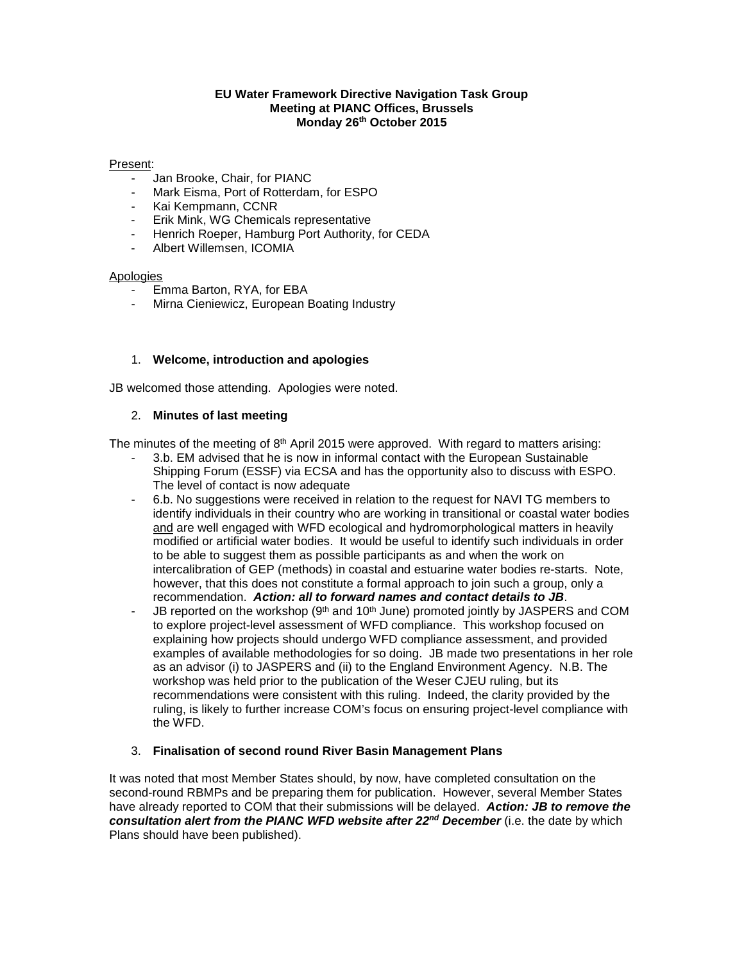### **EU Water Framework Directive Navigation Task Group Meeting at PIANC Offices, Brussels Monday 26th October 2015**

#### Present:

- Jan Brooke, Chair, for PIANC
- Mark Eisma, Port of Rotterdam, for ESPO
- Kai Kempmann, CCNR
- Erik Mink, WG Chemicals representative
- Henrich Roeper, Hamburg Port Authority, for CEDA
- Albert Willemsen, ICOMIA

#### Apologies

- Emma Barton, RYA, for EBA
- Mirna Cieniewicz, European Boating Industry

### 1. **Welcome, introduction and apologies**

JB welcomed those attending. Apologies were noted.

### 2. **Minutes of last meeting**

The minutes of the meeting of  $8<sup>th</sup>$  April 2015 were approved. With regard to matters arising:

- 3.b. EM advised that he is now in informal contact with the European Sustainable Shipping Forum (ESSF) via ECSA and has the opportunity also to discuss with ESPO. The level of contact is now adequate
- 6.b. No suggestions were received in relation to the request for NAVI TG members to identify individuals in their country who are working in transitional or coastal water bodies and are well engaged with WFD ecological and hydromorphological matters in heavily modified or artificial water bodies. It would be useful to identify such individuals in order to be able to suggest them as possible participants as and when the work on intercalibration of GEP (methods) in coastal and estuarine water bodies re-starts. Note, however, that this does not constitute a formal approach to join such a group, only a recommendation. *Action: all to forward names and contact details to JB*.
- JB reported on the workshop (9<sup>th</sup> and 10<sup>th</sup> June) promoted jointly by JASPERS and COM to explore project-level assessment of WFD compliance. This workshop focused on explaining how projects should undergo WFD compliance assessment, and provided examples of available methodologies for so doing. JB made two presentations in her role as an advisor (i) to JASPERS and (ii) to the England Environment Agency. N.B. The workshop was held prior to the publication of the Weser CJEU ruling, but its recommendations were consistent with this ruling. Indeed, the clarity provided by the ruling, is likely to further increase COM's focus on ensuring project-level compliance with the WFD.

### 3. **Finalisation of second round River Basin Management Plans**

It was noted that most Member States should, by now, have completed consultation on the second-round RBMPs and be preparing them for publication. However, several Member States have already reported to COM that their submissions will be delayed. *Action: JB to remove the consultation alert from the PIANC WFD website after 22nd December* (i.e. the date by which Plans should have been published).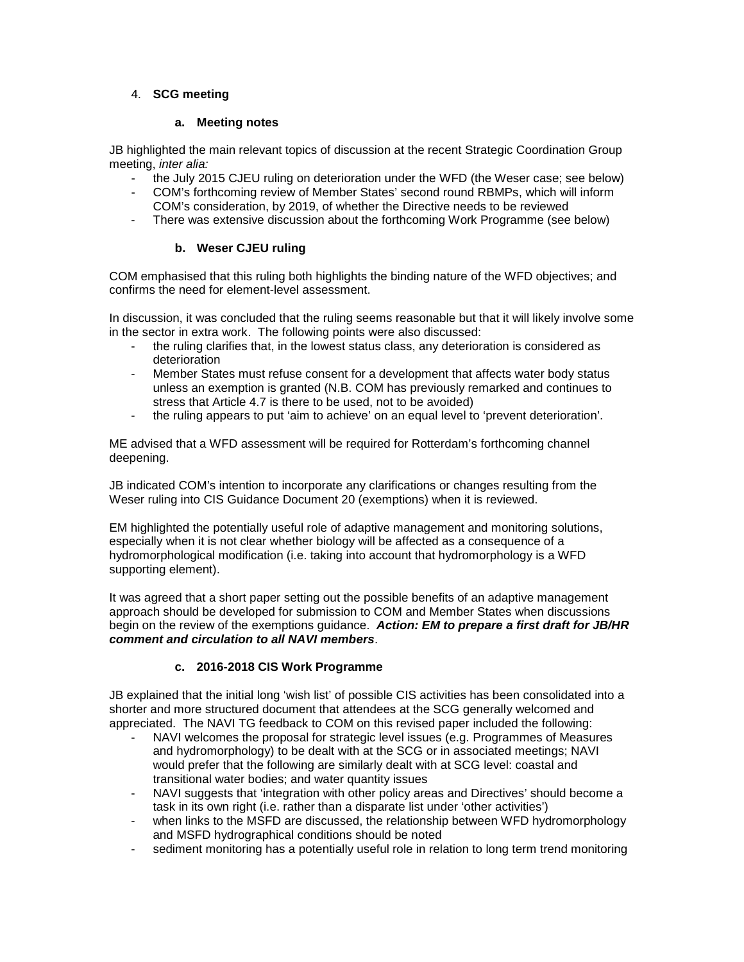# 4. **SCG meeting**

## **a. Meeting notes**

JB highlighted the main relevant topics of discussion at the recent Strategic Coordination Group meeting, *inter alia:*

- the July 2015 CJEU ruling on deterioration under the WFD (the Weser case; see below)
- COM's forthcoming review of Member States' second round RBMPs, which will inform COM's consideration, by 2019, of whether the Directive needs to be reviewed
- There was extensive discussion about the forthcoming Work Programme (see below)

# **b. Weser CJEU ruling**

COM emphasised that this ruling both highlights the binding nature of the WFD objectives; and confirms the need for element-level assessment.

In discussion, it was concluded that the ruling seems reasonable but that it will likely involve some in the sector in extra work. The following points were also discussed:

- the ruling clarifies that, in the lowest status class, any deterioration is considered as deterioration
- Member States must refuse consent for a development that affects water body status unless an exemption is granted (N.B. COM has previously remarked and continues to stress that Article 4.7 is there to be used, not to be avoided)
- the ruling appears to put 'aim to achieve' on an equal level to 'prevent deterioration'.

ME advised that a WFD assessment will be required for Rotterdam's forthcoming channel deepening.

JB indicated COM's intention to incorporate any clarifications or changes resulting from the Weser ruling into CIS Guidance Document 20 (exemptions) when it is reviewed.

EM highlighted the potentially useful role of adaptive management and monitoring solutions, especially when it is not clear whether biology will be affected as a consequence of a hydromorphological modification (i.e. taking into account that hydromorphology is a WFD supporting element).

It was agreed that a short paper setting out the possible benefits of an adaptive management approach should be developed for submission to COM and Member States when discussions begin on the review of the exemptions guidance. *Action: EM to prepare a first draft for JB/HR comment and circulation to all NAVI members*.

# **c. 2016-2018 CIS Work Programme**

JB explained that the initial long 'wish list' of possible CIS activities has been consolidated into a shorter and more structured document that attendees at the SCG generally welcomed and appreciated. The NAVI TG feedback to COM on this revised paper included the following:

- NAVI welcomes the proposal for strategic level issues (e.g. Programmes of Measures and hydromorphology) to be dealt with at the SCG or in associated meetings; NAVI would prefer that the following are similarly dealt with at SCG level: coastal and transitional water bodies; and water quantity issues
- NAVI suggests that 'integration with other policy areas and Directives' should become a task in its own right (i.e. rather than a disparate list under 'other activities')
- when links to the MSFD are discussed, the relationship between WFD hydromorphology and MSFD hydrographical conditions should be noted
- sediment monitoring has a potentially useful role in relation to long term trend monitoring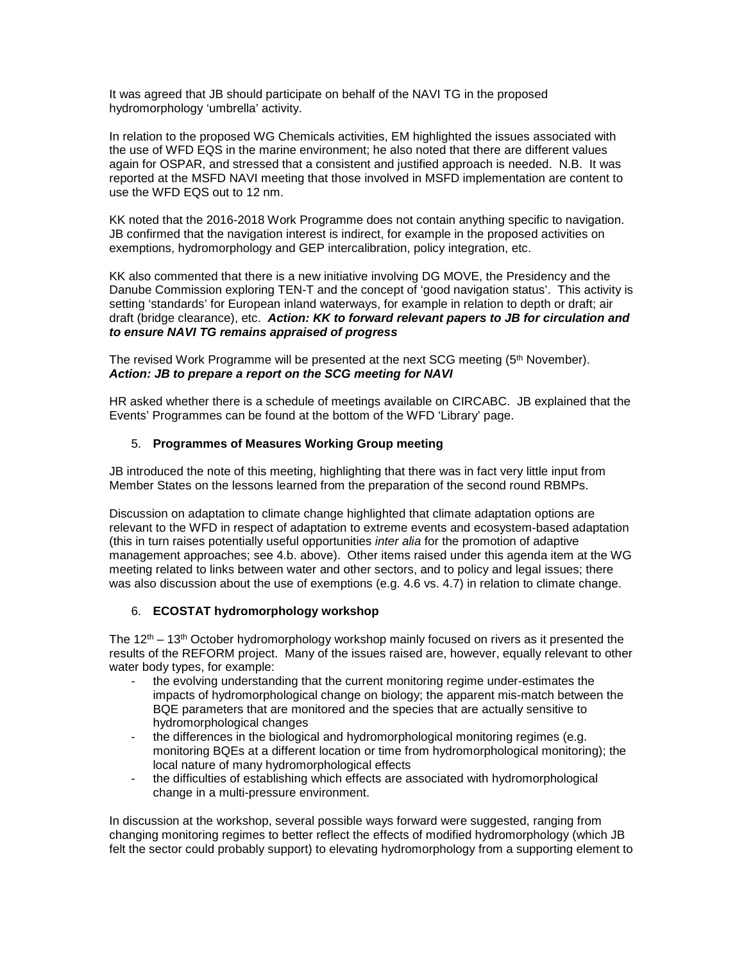It was agreed that JB should participate on behalf of the NAVI TG in the proposed hydromorphology 'umbrella' activity.

In relation to the proposed WG Chemicals activities, EM highlighted the issues associated with the use of WFD EQS in the marine environment; he also noted that there are different values again for OSPAR, and stressed that a consistent and justified approach is needed. N.B. It was reported at the MSFD NAVI meeting that those involved in MSFD implementation are content to use the WFD EQS out to 12 nm.

KK noted that the 2016-2018 Work Programme does not contain anything specific to navigation. JB confirmed that the navigation interest is indirect, for example in the proposed activities on exemptions, hydromorphology and GEP intercalibration, policy integration, etc.

KK also commented that there is a new initiative involving DG MOVE, the Presidency and the Danube Commission exploring TEN-T and the concept of 'good navigation status'. This activity is setting 'standards' for European inland waterways, for example in relation to depth or draft; air draft (bridge clearance), etc. *Action: KK to forward relevant papers to JB for circulation and to ensure NAVI TG remains appraised of progress*

The revised Work Programme will be presented at the next SCG meeting (5<sup>th</sup> November). *Action: JB to prepare a report on the SCG meeting for NAVI*

HR asked whether there is a schedule of meetings available on CIRCABC. JB explained that the Events' Programmes can be found at the bottom of the WFD 'Library' page.

## 5. **Programmes of Measures Working Group meeting**

JB introduced the note of this meeting, highlighting that there was in fact very little input from Member States on the lessons learned from the preparation of the second round RBMPs.

Discussion on adaptation to climate change highlighted that climate adaptation options are relevant to the WFD in respect of adaptation to extreme events and ecosystem-based adaptation (this in turn raises potentially useful opportunities *inter alia* for the promotion of adaptive management approaches; see 4.b. above). Other items raised under this agenda item at the WG meeting related to links between water and other sectors, and to policy and legal issues; there was also discussion about the use of exemptions (e.g. 4.6 vs. 4.7) in relation to climate change.

# 6. **ECOSTAT hydromorphology workshop**

The  $12<sup>th</sup>$  – 13<sup>th</sup> October hydromorphology workshop mainly focused on rivers as it presented the results of the REFORM project. Many of the issues raised are, however, equally relevant to other water body types, for example:

- the evolving understanding that the current monitoring regime under-estimates the impacts of hydromorphological change on biology; the apparent mis-match between the BQE parameters that are monitored and the species that are actually sensitive to hydromorphological changes
- the differences in the biological and hydromorphological monitoring regimes (e.g. monitoring BQEs at a different location or time from hydromorphological monitoring); the local nature of many hydromorphological effects
- the difficulties of establishing which effects are associated with hydromorphological change in a multi-pressure environment.

In discussion at the workshop, several possible ways forward were suggested, ranging from changing monitoring regimes to better reflect the effects of modified hydromorphology (which JB felt the sector could probably support) to elevating hydromorphology from a supporting element to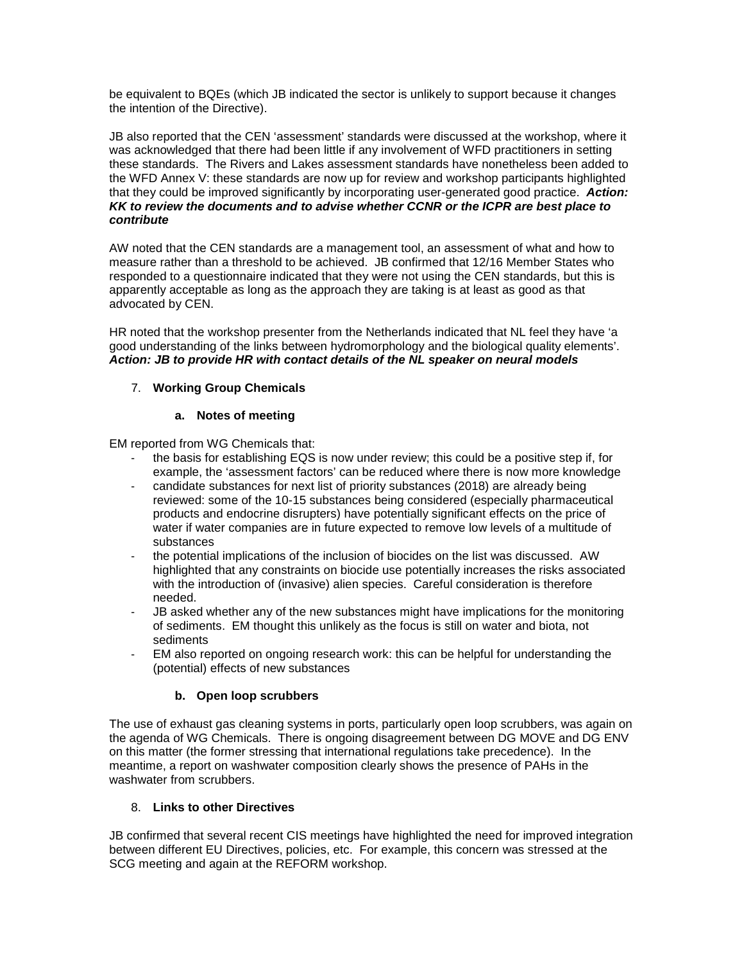be equivalent to BQEs (which JB indicated the sector is unlikely to support because it changes the intention of the Directive).

JB also reported that the CEN 'assessment' standards were discussed at the workshop, where it was acknowledged that there had been little if any involvement of WFD practitioners in setting these standards. The Rivers and Lakes assessment standards have nonetheless been added to the WFD Annex V: these standards are now up for review and workshop participants highlighted that they could be improved significantly by incorporating user-generated good practice. *Action: KK to review the documents and to advise whether CCNR or the ICPR are best place to contribute*

AW noted that the CEN standards are a management tool, an assessment of what and how to measure rather than a threshold to be achieved. JB confirmed that 12/16 Member States who responded to a questionnaire indicated that they were not using the CEN standards, but this is apparently acceptable as long as the approach they are taking is at least as good as that advocated by CEN.

HR noted that the workshop presenter from the Netherlands indicated that NL feel they have 'a good understanding of the links between hydromorphology and the biological quality elements'. *Action: JB to provide HR with contact details of the NL speaker on neural models*

# 7. **Working Group Chemicals**

### **a. Notes of meeting**

EM reported from WG Chemicals that:

- the basis for establishing EQS is now under review; this could be a positive step if, for example, the 'assessment factors' can be reduced where there is now more knowledge
- candidate substances for next list of priority substances (2018) are already being reviewed: some of the 10-15 substances being considered (especially pharmaceutical products and endocrine disrupters) have potentially significant effects on the price of water if water companies are in future expected to remove low levels of a multitude of substances
- the potential implications of the inclusion of biocides on the list was discussed. AW highlighted that any constraints on biocide use potentially increases the risks associated with the introduction of (invasive) alien species. Careful consideration is therefore needed.
- JB asked whether any of the new substances might have implications for the monitoring of sediments. EM thought this unlikely as the focus is still on water and biota, not sediments
- EM also reported on ongoing research work: this can be helpful for understanding the (potential) effects of new substances

# **b. Open loop scrubbers**

The use of exhaust gas cleaning systems in ports, particularly open loop scrubbers, was again on the agenda of WG Chemicals. There is ongoing disagreement between DG MOVE and DG ENV on this matter (the former stressing that international regulations take precedence). In the meantime, a report on washwater composition clearly shows the presence of PAHs in the washwater from scrubbers.

# 8. **Links to other Directives**

JB confirmed that several recent CIS meetings have highlighted the need for improved integration between different EU Directives, policies, etc. For example, this concern was stressed at the SCG meeting and again at the REFORM workshop.